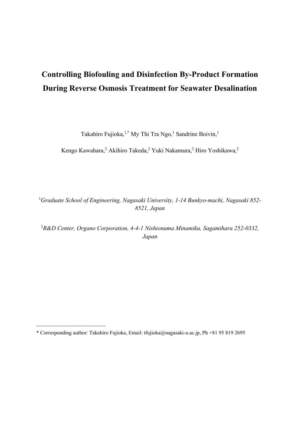# **Controlling Biofouling and Disinfection By-Product Formation During Reverse Osmosis Treatment for Seawater Desalination**

Takahiro Fujioka,<sup>1,\*</sup> My Thi Tra Ngo,<sup>1</sup> Sandrine Boivin,<sup>1</sup>

Kengo Kawahara,<sup>2</sup> Akihiro Takeda,<sup>2</sup> Yuki Nakamura,<sup>2</sup> Hiro Yoshikawa,<sup>2</sup>

1 *Graduate School of Engineering, Nagasaki University, 1-14 Bunkyo-machi, Nagasaki 852- 8521, Japan* 

2 *R&D Center, Organo Corporation, 4-4-1 Nishionuma Minamiku, Sagamihara 252-0332, Japan* 

\_\_\_\_\_\_\_\_\_\_\_\_\_\_\_\_\_\_\_\_\_\_\_

<sup>\*</sup> Corresponding author: Takahiro Fujioka, Email: tfujioka@nagasaki-u.ac.jp, Ph +81 95 819 2695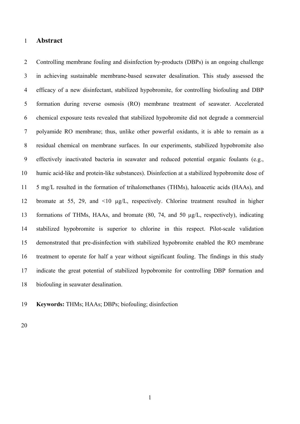## 1 **Abstract**

2 Controlling membrane fouling and disinfection by-products (DBPs) is an ongoing challenge 3 in achieving sustainable membrane-based seawater desalination. This study assessed the 4 efficacy of a new disinfectant, stabilized hypobromite, for controlling biofouling and DBP 5 formation during reverse osmosis (RO) membrane treatment of seawater. Accelerated 6 chemical exposure tests revealed that stabilized hypobromite did not degrade a commercial 7 polyamide RO membrane; thus, unlike other powerful oxidants, it is able to remain as a 8 residual chemical on membrane surfaces. In our experiments, stabilized hypobromite also 9 effectively inactivated bacteria in seawater and reduced potential organic foulants (e.g., 10 humic acid-like and protein-like substances). Disinfection at a stabilized hypobromite dose of 11 5 mg/L resulted in the formation of trihalomethanes (THMs), haloacetic acids (HAAs), and 12 bromate at 55, 29, and <10 µg/L, respectively. Chlorine treatment resulted in higher 13 formations of THMs, HAAs, and bromate (80, 74, and 50 µg/L, respectively), indicating 14 stabilized hypobromite is superior to chlorine in this respect. Pilot-scale validation 15 demonstrated that pre-disinfection with stabilized hypobromite enabled the RO membrane 16 treatment to operate for half a year without significant fouling. The findings in this study 17 indicate the great potential of stabilized hypobromite for controlling DBP formation and 18 biofouling in seawater desalination.

19 **Keywords:** THMs; HAAs; DBPs; biofouling; disinfection

20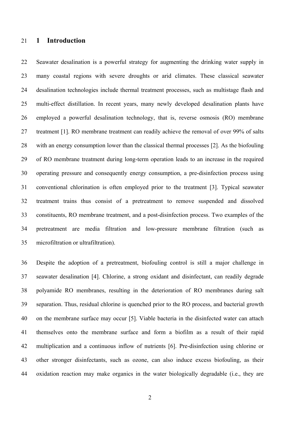## 21 **1 Introduction**

22 Seawater desalination is a powerful strategy for augmenting the drinking water supply in 23 many coastal regions with severe droughts or arid climates. These classical seawater 24 desalination technologies include thermal treatment processes, such as multistage flash and 25 multi-effect distillation. In recent years, many newly developed desalination plants have 26 employed a powerful desalination technology, that is, reverse osmosis (RO) membrane 27 treatment [1]. RO membrane treatment can readily achieve the removal of over 99% of salts 28 with an energy consumption lower than the classical thermal processes [2]. As the biofouling 29 of RO membrane treatment during long-term operation leads to an increase in the required 30 operating pressure and consequently energy consumption, a pre-disinfection process using 31 conventional chlorination is often employed prior to the treatment [3]. Typical seawater 32 treatment trains thus consist of a pretreatment to remove suspended and dissolved 33 constituents, RO membrane treatment, and a post-disinfection process. Two examples of the 34 pretreatment are media filtration and low-pressure membrane filtration (such as 35 microfiltration or ultrafiltration).

36 Despite the adoption of a pretreatment, biofouling control is still a major challenge in 37 seawater desalination [4]. Chlorine, a strong oxidant and disinfectant, can readily degrade 38 polyamide RO membranes, resulting in the deterioration of RO membranes during salt 39 separation. Thus, residual chlorine is quenched prior to the RO process, and bacterial growth 40 on the membrane surface may occur [5]. Viable bacteria in the disinfected water can attach 41 themselves onto the membrane surface and form a biofilm as a result of their rapid 42 multiplication and a continuous inflow of nutrients [6]. Pre-disinfection using chlorine or 43 other stronger disinfectants, such as ozone, can also induce excess biofouling, as their 44 oxidation reaction may make organics in the water biologically degradable (i.e., they are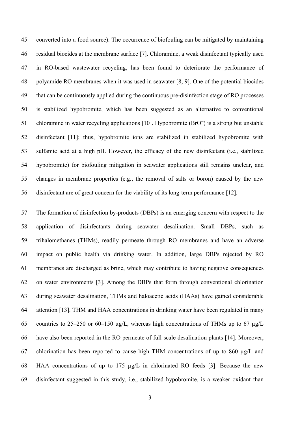45 converted into a food source). The occurrence of biofouling can be mitigated by maintaining 46 residual biocides at the membrane surface [7]. Chloramine, a weak disinfectant typically used 47 in RO-based wastewater recycling, has been found to deteriorate the performance of 48 polyamide RO membranes when it was used in seawater [8, 9]. One of the potential biocides 49 that can be continuously applied during the continuous pre-disinfection stage of RO processes 50 is stabilized hypobromite, which has been suggested as an alternative to conventional 51 chloramine in water recycling applications [10]. Hypobromite (BrO<sup>−</sup>) is a strong but unstable 52 disinfectant [11]; thus, hypobromite ions are stabilized in stabilized hypobromite with 53 sulfamic acid at a high pH. However, the efficacy of the new disinfectant (i.e., stabilized 54 hypobromite) for biofouling mitigation in seawater applications still remains unclear, and 55 changes in membrane properties (e.g., the removal of salts or boron) caused by the new 56 disinfectant are of great concern for the viability of its long-term performance [12].

57 The formation of disinfection by-products (DBPs) is an emerging concern with respect to the 58 application of disinfectants during seawater desalination. Small DBPs, such as 59 trihalomethanes (THMs), readily permeate through RO membranes and have an adverse 60 impact on public health via drinking water. In addition, large DBPs rejected by RO 61 membranes are discharged as brine, which may contribute to having negative consequences 62 on water environments [3]. Among the DBPs that form through conventional chlorination 63 during seawater desalination, THMs and haloacetic acids (HAAs) have gained considerable 64 attention [13]. THM and HAA concentrations in drinking water have been regulated in many 65 countries to 25–250 or 60–150  $\mu$ g/L, whereas high concentrations of THMs up to 67  $\mu$ g/L 66 have also been reported in the RO permeate of full-scale desalination plants [14]. Moreover, 67 chlorination has been reported to cause high THM concentrations of up to 860 µg/L and 68 HAA concentrations of up to 175 µg/L in chlorinated RO feeds [3]. Because the new 69 disinfectant suggested in this study, i.e., stabilized hypobromite, is a weaker oxidant than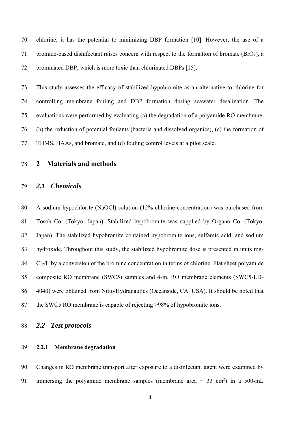70 chlorine, it has the potential to minimizing DBP formation [10]. However, the use of a 71 bromide-based disinfectant raises concern with respect to the formation of bromate (BrO3), a 72 brominated DBP, which is more toxic than chlorinated DBPs [15].

73 This study assesses the efficacy of stabilized hypobromite as an alternative to chlorine for 74 controlling membrane fouling and DBP formation during seawater desalination. The 75 evaluations were performed by evaluating (a) the degradation of a polyamide RO membrane, 76 (b) the reduction of potential foulants (bacteria and dissolved organics), (c) the formation of 77 THMS, HAAs, and bromate, and (d) fouling control levels at a pilot scale.

# 78 **2 Materials and methods**

## 79 *2.1 Chemicals*

80 A sodium hypochlorite (NaOCl) solution (12% chlorine concentration) was purchased from 81 Tosoh Co. (Tokyo, Japan). Stabilized hypobromite was supplied by Organo Co. (Tokyo, 82 Japan). The stabilized hypobromite contained hypobromite ions, sulfamic acid, and sodium 83 hydroxide. Throughout this study, the stabilized hypobromite dose is presented in units mg-84 Cl2/L by a conversion of the bromine concentration in terms of chlorine. Flat sheet polyamide 85 composite RO membrane (SWC5) samples and 4-in. RO membrane elements (SWC5-LD-86 4040) were obtained from Nitto/Hydranautics (Oceanside, CA, USA). It should be noted that 87 the SWC5 RO membrane is capable of rejecting >98% of hypobromite ions.

## 88 *2.2 Test protocols*

# 89 **2.2.1 Membrane degradation**

90 Changes in RO membrane transport after exposure to a disinfectant agent were examined by 91 immersing the polyamide membrane samples (membrane area =  $33 \text{ cm}^2$ ) in a  $500 \text{-m}$ L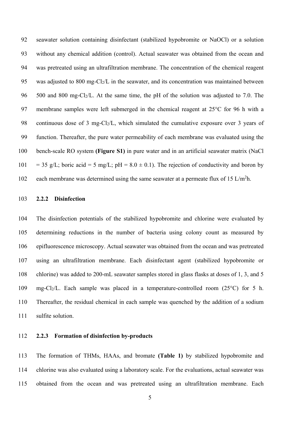92 seawater solution containing disinfectant (stabilized hypobromite or NaOCl) or a solution 93 without any chemical addition (control). Actual seawater was obtained from the ocean and 94 was pretreated using an ultrafiltration membrane. The concentration of the chemical reagent 95 was adjusted to 800 mg-Cl<sub>2</sub>/L in the seawater, and its concentration was maintained between 96 500 and 800 mg-Cl2/L. At the same time, the pH of the solution was adjusted to 7.0. The 97 membrane samples were left submerged in the chemical reagent at 25°C for 96 h with a 98 continuous dose of 3 mg-Cl<sub>2</sub>/L, which simulated the cumulative exposure over 3 years of 99 function. Thereafter, the pure water permeability of each membrane was evaluated using the 100 bench-scale RO system **(Figure S1)** in pure water and in an artificial seawater matrix (NaCl 101 = 35 g/L; boric acid = 5 mg/L; pH =  $8.0 \pm 0.1$ ). The rejection of conductivity and boron by 102 each membrane was determined using the same seawater at a permeate flux of 15 L/m<sup>2</sup>h.

## 103 **2.2.2 Disinfection**

104 The disinfection potentials of the stabilized hypobromite and chlorine were evaluated by 105 determining reductions in the number of bacteria using colony count as measured by 106 epifluorescence microscopy. Actual seawater was obtained from the ocean and was pretreated 107 using an ultrafiltration membrane. Each disinfectant agent (stabilized hypobromite or 108 chlorine) was added to 200-mL seawater samples stored in glass flasks at doses of 1, 3, and 5 109 mg-Cl2/L. Each sample was placed in a temperature-controlled room (25°C) for 5 h. 110 Thereafter, the residual chemical in each sample was quenched by the addition of a sodium 111 sulfite solution.

## 112 **2.2.3 Formation of disinfection by-products**

113 The formation of THMs, HAAs, and bromate **(Table 1)** by stabilized hypobromite and 114 chlorine was also evaluated using a laboratory scale. For the evaluations, actual seawater was 115 obtained from the ocean and was pretreated using an ultrafiltration membrane. Each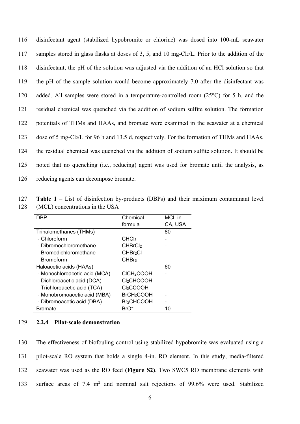116 disinfectant agent (stabilized hypobromite or chlorine) was dosed into 100-mL seawater 117 samples stored in glass flasks at doses of 3, 5, and 10 mg-Cl2/L. Prior to the addition of the 118 disinfectant, the pH of the solution was adjusted via the addition of an HCl solution so that 119 the pH of the sample solution would become approximately 7.0 after the disinfectant was 120 added. All samples were stored in a temperature-controlled room (25°C) for 5 h, and the 121 residual chemical was quenched via the addition of sodium sulfite solution. The formation 122 potentials of THMs and HAAs, and bromate were examined in the seawater at a chemical 123 dose of 5 mg-Cl2/L for 96 h and 13.5 d, respectively. For the formation of THMs and HAAs, 124 the residual chemical was quenched via the addition of sodium sulfite solution. It should be 125 noted that no quenching (i.e., reducing) agent was used for bromate until the analysis, as 126 reducing agents can decompose bromate.

127 **Table 1** – List of disinfection by-products (DBPs) and their maximum contaminant level 128 (MCL) concentrations in the USA

| DBP                           | Chemical                      | MCL in  |
|-------------------------------|-------------------------------|---------|
|                               | formula                       | CA, USA |
| Trihalomethanes (THMs)        |                               | 80      |
| - Chloroform                  | CHCl <sub>3</sub>             |         |
| - Dibromochloromethane        | <b>CHBrCl<sub>2</sub></b>     |         |
| - Bromodichloromethane        | <b>CHBr<sub>2</sub>CI</b>     |         |
| - Bromoform                   | CHBr <sub>3</sub>             |         |
| Haloacetic acids (HAAs)       |                               | 60      |
| - Monochloroacetic acid (MCA) | CICH <sub>2</sub> COOH        |         |
| - Dichloroacetic acid (DCA)   | Cl <sub>2</sub> CHCOOH        |         |
| - Trichloroacetic acid (TCA)  | Cl <sub>3</sub> CCOOH         |         |
| - Monobromoacetic acid (MBA)  | BrCH <sub>2</sub> COOH        |         |
| - Dibromoacetic acid (DBA)    | <b>Br</b> <sub>2</sub> CHCOOH |         |
| Bromate                       | BrO                           | 10      |

## 129 **2.2.4 Pilot-scale demonstration**

130 The effectiveness of biofouling control using stabilized hypobromite was evaluated using a 131 pilot-scale RO system that holds a single 4-in. RO element. In this study, media-filtered 132 seawater was used as the RO feed **(Figure S2)**. Two SWC5 RO membrane elements with 133 surface areas of 7.4  $m^2$  and nominal salt rejections of 99.6% were used. Stabilized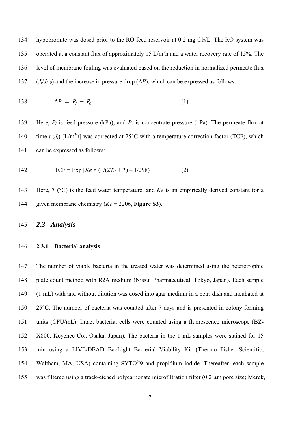134 hypobromite was dosed prior to the RO feed reservoir at 0.2 mg-Cl2/L. The RO system was 135 operated at a constant flux of approximately 15  $L/m<sup>2</sup>$  h and a water recovery rate of 15%. The 136 level of membrane fouling was evaluated based on the reduction in normalized permeate flux 137 (*J<sub>t</sub>*/*J<sub>t=0</sub>*) and the increase in pressure drop ( $\Delta P$ ), which can be expressed as follows:

$$
138 \qquad \Delta P = P_f - P_c \tag{1}
$$

139 Here, *Pf* is feed pressure (kPa), and *Pc* is concentrate pressure (kPa). The permeate flux at 140 time *t* ( $J_t$ ) [L/m<sup>2</sup>h] was corrected at 25°C with a temperature correction factor (TCF), which 141 can be expressed as follows:

142 
$$
TCF = Exp [Ke \times (1/(273 + T) - 1/298)]
$$
 (2)

143 Here, *T* (°C) is the feed water temperature, and *Ke* is an empirically derived constant for a 144 given membrane chemistry (*Ke* = 2206, **Figure S3**).

## 145 *2.3 Analysis*

#### 146 **2.3.1 Bacterial analysis**

147 The number of viable bacteria in the treated water was determined using the heterotrophic 148 plate count method with R2A medium (Nissui Pharmaceutical, Tokyo, Japan). Each sample 149 (1 mL) with and without dilution was dosed into agar medium in a petri dish and incubated at 150 25°C. The number of bacteria was counted after 7 days and is presented in colony-forming 151 units (CFU/mL). Intact bacterial cells were counted using a fluorescence microscope (BZ-152 X800, Keyence Co., Osaka, Japan). The bacteria in the 1-mL samples were stained for 15 153 min using a LIVE/DEAD BacLight Bacterial Viability Kit (Thermo Fisher Scientific, 154 Waltham, MA, USA) containing SYTO®9 and propidium iodide. Thereafter, each sample 155 was filtered using a track-etched polycarbonate microfiltration filter (0.2 µm pore size; Merck,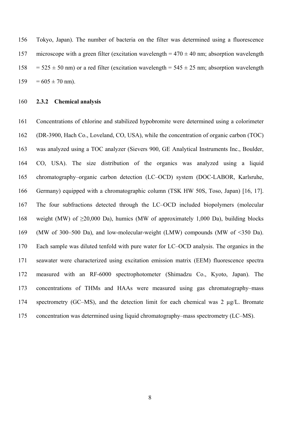156 Tokyo, Japan). The number of bacteria on the filter was determined using a fluorescence 157 microscope with a green filter (excitation wavelength  $= 470 \pm 40$  nm; absorption wavelength  $158 = 525 \pm 50$  nm) or a red filter (excitation wavelength =  $545 \pm 25$  nm; absorption wavelength  $159 = 605 \pm 70$  nm).

#### 160 **2.3.2 Chemical analysis**

161 Concentrations of chlorine and stabilized hypobromite were determined using a colorimeter 162 (DR-3900, Hach Co., Loveland, CO, USA), while the concentration of organic carbon (TOC) 163 was analyzed using a TOC analyzer (Sievers 900, GE Analytical Instruments Inc., Boulder, 164 CO, USA). The size distribution of the organics was analyzed using a liquid 165 chromatography–organic carbon detection (LC–OCD) system (DOC-LABOR, Karlsruhe, 166 Germany) equipped with a chromatographic column (TSK HW 50S, Toso, Japan) [16, 17]. 167 The four subfractions detected through the LC–OCD included biopolymers (molecular 168 weight (MW) of  $\geq 20,000$  Da), humics (MW of approximately 1,000 Da), building blocks 169 (MW of 300–500 Da), and low-molecular-weight (LMW) compounds (MW of <350 Da). 170 Each sample was diluted tenfold with pure water for LC–OCD analysis. The organics in the 171 seawater were characterized using excitation emission matrix (EEM) fluorescence spectra 172 measured with an RF-6000 spectrophotometer (Shimadzu Co., Kyoto, Japan). The 173 concentrations of THMs and HAAs were measured using gas chromatography–mass 174 spectrometry (GC–MS), and the detection limit for each chemical was 2 µg/L. Bromate 175 concentration was determined using liquid chromatography–mass spectrometry (LC–MS).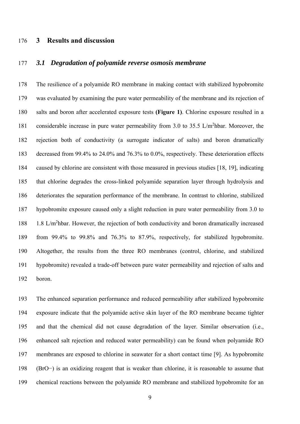# 176 **3 Results and discussion**

# 177 *3.1 Degradation of polyamide reverse osmosis membrane*

178 The resilience of a polyamide RO membrane in making contact with stabilized hypobromite 179 was evaluated by examining the pure water permeability of the membrane and its rejection of 180 salts and boron after accelerated exposure tests **(Figure 1)**. Chlorine exposure resulted in a 181 considerable increase in pure water permeability from 3.0 to 35.5 L/m<sup>2</sup>hbar. Moreover, the 182 rejection both of conductivity (a surrogate indicator of salts) and boron dramatically 183 decreased from 99.4% to 24.0% and 76.3% to 0.0%, respectively. These deterioration effects 184 caused by chlorine are consistent with those measured in previous studies [18, 19], indicating 185 that chlorine degrades the cross-linked polyamide separation layer through hydrolysis and 186 deteriorates the separation performance of the membrane. In contrast to chlorine, stabilized 187 hypobromite exposure caused only a slight reduction in pure water permeability from 3.0 to  $188$  hbar. However, the rejection of both conductivity and boron dramatically increased 189 from 99.4% to 99.8% and 76.3% to 87.9%, respectively, for stabilized hypobromite. 190 Altogether, the results from the three RO membranes (control, chlorine, and stabilized 191 hypobromite) revealed a trade-off between pure water permeability and rejection of salts and 192 boron.

193 The enhanced separation performance and reduced permeability after stabilized hypobromite 194 exposure indicate that the polyamide active skin layer of the RO membrane became tighter 195 and that the chemical did not cause degradation of the layer. Similar observation (i.e., 196 enhanced salt rejection and reduced water permeability) can be found when polyamide RO 197 membranes are exposed to chlorine in seawater for a short contact time [9]. As hypobromite 198 (BrO−) is an oxidizing reagent that is weaker than chlorine, it is reasonable to assume that 199 chemical reactions between the polyamide RO membrane and stabilized hypobromite for an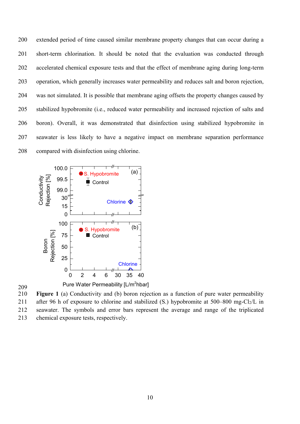200 extended period of time caused similar membrane property changes that can occur during a 201 short-term chlorination. It should be noted that the evaluation was conducted through 202 accelerated chemical exposure tests and that the effect of membrane aging during long-term 203 operation, which generally increases water permeability and reduces salt and boron rejection, 204 was not simulated. It is possible that membrane aging offsets the property changes caused by 205 stabilized hypobromite (i.e., reduced water permeability and increased rejection of salts and 206 boron). Overall, it was demonstrated that disinfection using stabilized hypobromite in 207 seawater is less likely to have a negative impact on membrane separation performance 208 compared with disinfection using chlorine.



209

210 **Figure 1** (a) Conductivity and (b) boron rejection as a function of pure water permeability 211 after 96 h of exposure to chlorine and stabilized (S.) hypobromite at  $500-800$  mg-Cl<sub>2</sub>/L in 212 seawater. The symbols and error bars represent the average and range of the triplicated 213 chemical exposure tests, respectively.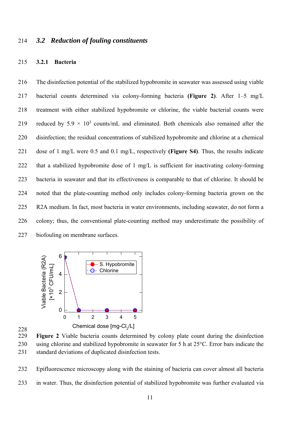## 214 *3.2 Reduction of fouling constituents*

#### 215 **3.2.1 Bacteria**

216 The disinfection potential of the stabilized hypobromite in seawater was assessed using viable 217 bacterial counts determined via colony-forming bacteria **(Figure 2)**. After 1–5 mg/L 218 treatment with either stabilized hypobromite or chlorine, the viable bacterial counts were 219 reduced by  $5.9 \times 10^3$  counts/mL and eliminated. Both chemicals also remained after the 220 disinfection; the residual concentrations of stabilized hypobromite and chlorine at a chemical 221 dose of 1 mg/L were 0.5 and 0.1 mg/L, respectively **(Figure S4)**. Thus, the results indicate 222 that a stabilized hypobromite dose of 1 mg/L is sufficient for inactivating colony-forming 223 bacteria in seawater and that its effectiveness is comparable to that of chlorine. It should be 224 noted that the plate-counting method only includes colony-forming bacteria grown on the 225 R2A medium. In fact, most bacteria in water environments, including seawater, do not form a 226 colony; thus, the conventional plate-counting method may underestimate the possibility of 227 biofouling on membrane surfaces.



228

229 **Figure 2** Viable bacteria counts determined by colony plate count during the disinfection 230 using chlorine and stabilized hypobromite in seawater for 5 h at 25°C. Error bars indicate the 231 standard deviations of duplicated disinfection tests.

232 Epifluorescence microscopy along with the staining of bacteria can cover almost all bacteria

233 in water. Thus, the disinfection potential of stabilized hypobromite was further evaluated via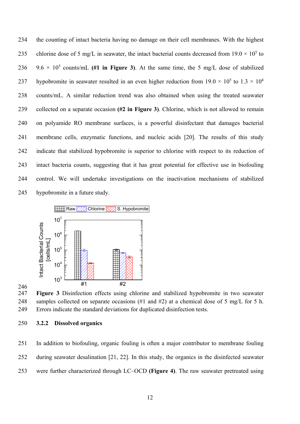234 the counting of intact bacteria having no damage on their cell membranes. With the highest 235 chlorine dose of 5 mg/L in seawater, the intact bacterial counts decreased from  $19.0 \times 10^5$  to 236  $9.6 \times 10^5$  counts/mL (#1 in Figure 3). At the same time, the 5 mg/L dose of stabilized 237 hypobromite in seawater resulted in an even higher reduction from  $19.0 \times 10^5$  to  $1.3 \times 10^4$ 238 counts/mL. A similar reduction trend was also obtained when using the treated seawater 239 collected on a separate occasion **(#2 in Figure 3)**. Chlorine, which is not allowed to remain 240 on polyamide RO membrane surfaces, is a powerful disinfectant that damages bacterial 241 membrane cells, enzymatic functions, and nucleic acids [20]. The results of this study 242 indicate that stabilized hypobromite is superior to chlorine with respect to its reduction of 243 intact bacteria counts, suggesting that it has great potential for effective use in biofouling 244 control. We will undertake investigations on the inactivation mechanisms of stabilized 245 hypobromite in a future study.



247 **Figure 3** Disinfection effects using chlorine and stabilized hypobromite in two seawater 248 samples collected on separate occasions (#1 and #2) at a chemical dose of 5 mg/L for 5 h. 249 Errors indicate the standard deviations for duplicated disinfection tests.

250 **3.2.2 Dissolved organics** 

246

251 In addition to biofouling, organic fouling is often a major contributor to membrane fouling 252 during seawater desalination [21, 22]. In this study, the organics in the disinfected seawater 253 were further characterized through LC–OCD **(Figure 4)**. The raw seawater pretreated using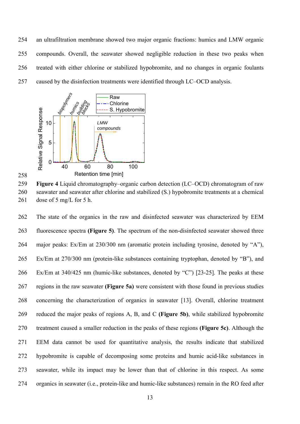254 an ultrafiltration membrane showed two major organic fractions: humics and LMW organic 255 compounds. Overall, the seawater showed negligible reduction in these two peaks when 256 treated with either chlorine or stabilized hypobromite, and no changes in organic foulants 257 caused by the disinfection treatments were identified through LC–OCD analysis.





259 **Figure 4** Liquid chromatography–organic carbon detection (LC–OCD) chromatogram of raw 260 seawater and seawater after chlorine and stabilized (S.) hypobromite treatments at a chemical 261 dose of 5 mg/L for 5 h.

262 The state of the organics in the raw and disinfected seawater was characterized by EEM 263 fluorescence spectra **(Figure 5)**. The spectrum of the non-disinfected seawater showed three 264 major peaks: Ex/Em at 230/300 nm (aromatic protein including tyrosine, denoted by "A"), 265 Ex/Em at 270/300 nm (protein-like substances containing tryptophan, denoted by "B"), and 266 Ex/Em at 340/425 nm (humic-like substances, denoted by "C") [23-25]. The peaks at these 267 regions in the raw seawater **(Figure 5a)** were consistent with those found in previous studies 268 concerning the characterization of organics in seawater [13]. Overall, chlorine treatment 269 reduced the major peaks of regions A, B, and C **(Figure 5b)**, while stabilized hypobromite 270 treatment caused a smaller reduction in the peaks of these regions **(Figure 5c)**. Although the 271 EEM data cannot be used for quantitative analysis, the results indicate that stabilized 272 hypobromite is capable of decomposing some proteins and humic acid-like substances in 273 seawater, while its impact may be lower than that of chlorine in this respect. As some 274 organics in seawater (i.e., protein-like and humic-like substances) remain in the RO feed after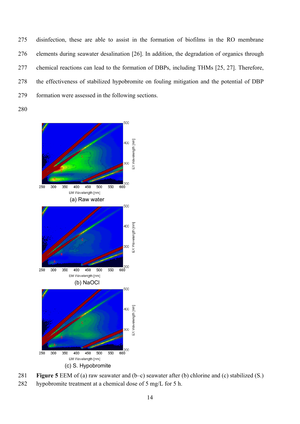275 disinfection, these are able to assist in the formation of biofilms in the RO membrane 276 elements during seawater desalination [26]. In addition, the degradation of organics through 277 chemical reactions can lead to the formation of DBPs, including THMs [25, 27]. Therefore, 278 the effectiveness of stabilized hypobromite on fouling mitigation and the potential of DBP 279 formation were assessed in the following sections.

280





282 hypobromite treatment at a chemical dose of 5 mg/L for 5 h.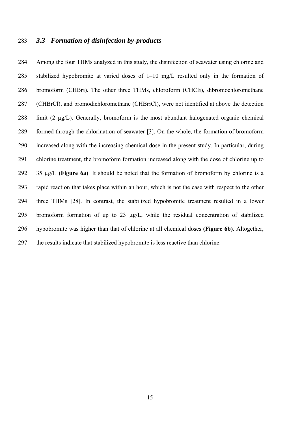# 283 *3.3 Formation of disinfection by-products*

284 Among the four THMs analyzed in this study, the disinfection of seawater using chlorine and 285 stabilized hypobromite at varied doses of 1–10 mg/L resulted only in the formation of 286 bromoform (CHBr3). The other three THMs, chloroform (CHCl3), dibromochloromethane 287 (CHBrCl), and bromodichloromethane (CHBr<sub>2</sub>Cl), were not identified at above the detection 288 limit (2 µg/L). Generally, bromoform is the most abundant halogenated organic chemical 289 formed through the chlorination of seawater [3]. On the whole, the formation of bromoform 290 increased along with the increasing chemical dose in the present study. In particular, during 291 chlorine treatment, the bromoform formation increased along with the dose of chlorine up to 292 35 µg/L **(Figure 6a)**. It should be noted that the formation of bromoform by chlorine is a 293 rapid reaction that takes place within an hour, which is not the case with respect to the other 294 three THMs [28]. In contrast, the stabilized hypobromite treatment resulted in a lower 295 bromoform formation of up to 23 µg/L, while the residual concentration of stabilized 296 hypobromite was higher than that of chlorine at all chemical doses **(Figure 6b)**. Altogether, 297 the results indicate that stabilized hypobromite is less reactive than chlorine.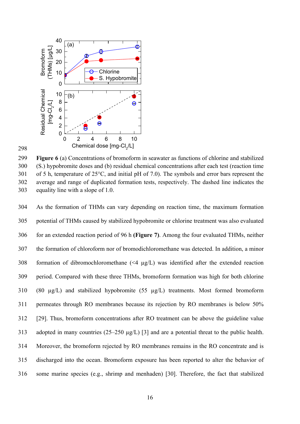

298

299 **Figure 6** (a) Concentrations of bromoform in seawater as functions of chlorine and stabilized 300 (S.) hypobromite doses and (b) residual chemical concentrations after each test (reaction time 301 of 5 h, temperature of 25°C, and initial pH of 7.0). The symbols and error bars represent the 302 average and range of duplicated formation tests, respectively. The dashed line indicates the 303 equality line with a slope of 1.0.

304 As the formation of THMs can vary depending on reaction time, the maximum formation 305 potential of THMs caused by stabilized hypobromite or chlorine treatment was also evaluated 306 for an extended reaction period of 96 h **(Figure 7)**. Among the four evaluated THMs, neither 307 the formation of chloroform nor of bromodichloromethane was detected. In addition, a minor 308 formation of dibromochloromethane  $(\leq 4 \mu g/L)$  was identified after the extended reaction 309 period. Compared with these three THMs, bromoform formation was high for both chlorine 310 (80 µg/L) and stabilized hypobromite (55 µg/L) treatments. Most formed bromoform 311 permeates through RO membranes because its rejection by RO membranes is below 50% 312 [29]. Thus, bromoform concentrations after RO treatment can be above the guideline value 313 adopted in many countries (25–250 µg/L) [3] and are a potential threat to the public health. 314 Moreover, the bromoform rejected by RO membranes remains in the RO concentrate and is 315 discharged into the ocean. Bromoform exposure has been reported to alter the behavior of 316 some marine species (e.g., shrimp and menhaden) [30]. Therefore, the fact that stabilized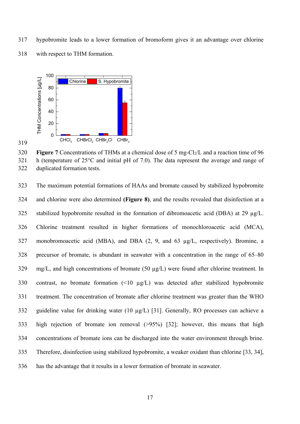317 hypobromite leads to a lower formation of bromoform gives it an advantage over chlorine 318 with respect to THM formation.



319

320 **Figure 7** Concentrations of THMs at a chemical dose of 5 mg-Cl2/L and a reaction time of 96 321 h (temperature of 25°C and initial pH of 7.0). The data represent the average and range of 322 duplicated formation tests.

323 The maximum potential formations of HAAs and bromate caused by stabilized hypobromite 324 and chlorine were also determined **(Figure 8)**, and the results revealed that disinfection at a 325 stabilized hypobromite resulted in the formation of dibromoacetic acid (DBA) at 29 µg/L. 326 Chlorine treatment resulted in higher formations of monochloroacetic acid (MCA), 327 monobromoacetic acid (MBA), and DBA (2, 9, and 63 µg/L, respectively). Bromine, a 328 precursor of bromate, is abundant in seawater with a concentration in the range of 65–80  $329 \text{ mg/L}$ , and high concentrations of bromate (50  $\mu$ g/L) were found after chlorine treatment. In 330 contrast, no bromate formation (<10  $\mu$ g/L) was detected after stabilized hypobromite 331 treatment. The concentration of bromate after chlorine treatment was greater than the WHO 332 guideline value for drinking water (10 µg/L) [31]. Generally, RO processes can achieve a 333 high rejection of bromate ion removal (>95%) [32]; however, this means that high 334 concentrations of bromate ions can be discharged into the water environment through brine. 335 Therefore, disinfection using stabilized hypobromite, a weaker oxidant than chlorine [33, 34], 336 has the advantage that it results in a lower formation of bromate in seawater.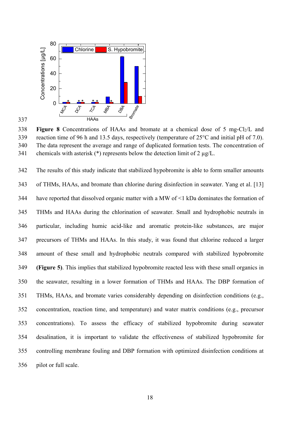

337

338 **Figure 8** Concentrations of HAAs and bromate at a chemical dose of 5 mg-Cl2/L and 339 reaction time of 96 h and 13.5 days, respectively (temperature of 25°C and initial pH of 7.0). 340 The data represent the average and range of duplicated formation tests. The concentration of 341 chemicals with asterisk  $(*)$  represents below the detection limit of 2  $\mu$ g/L.

342 The results of this study indicate that stabilized hypobromite is able to form smaller amounts 343 of THMs, HAAs, and bromate than chlorine during disinfection in seawater. Yang et al. [13] 344 have reported that dissolved organic matter with a MW of <1 kDa dominates the formation of 345 THMs and HAAs during the chlorination of seawater. Small and hydrophobic neutrals in 346 particular, including humic acid-like and aromatic protein-like substances, are major 347 precursors of THMs and HAAs. In this study, it was found that chlorine reduced a larger 348 amount of these small and hydrophobic neutrals compared with stabilized hypobromite 349 **(Figure 5)**. This implies that stabilized hypobromite reacted less with these small organics in 350 the seawater, resulting in a lower formation of THMs and HAAs. The DBP formation of 351 THMs, HAAs, and bromate varies considerably depending on disinfection conditions (e.g., 352 concentration, reaction time, and temperature) and water matrix conditions (e.g., precursor 353 concentrations). To assess the efficacy of stabilized hypobromite during seawater 354 desalination, it is important to validate the effectiveness of stabilized hypobromite for 355 controlling membrane fouling and DBP formation with optimized disinfection conditions at 356 pilot or full scale.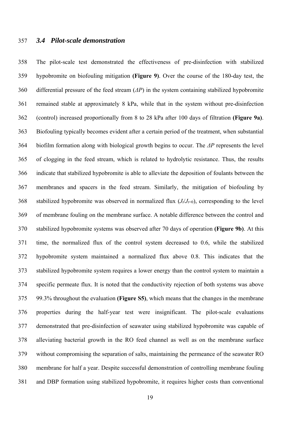# 357 *3.4 Pilot-scale demonstration*

358 The pilot-scale test demonstrated the effectiveness of pre-disinfection with stabilized 359 hypobromite on biofouling mitigation **(Figure 9)**. Over the course of the 180-day test, the 360 differential pressure of the feed stream (*ΔP*) in the system containing stabilized hypobromite 361 remained stable at approximately 8 kPa, while that in the system without pre-disinfection 362 (control) increased proportionally from 8 to 28 kPa after 100 days of filtration **(Figure 9a)**. 363 Biofouling typically becomes evident after a certain period of the treatment, when substantial 364 biofilm formation along with biological growth begins to occur. The *ΔP* represents the level 365 of clogging in the feed stream, which is related to hydrolytic resistance. Thus, the results 366 indicate that stabilized hypobromite is able to alleviate the deposition of foulants between the 367 membranes and spacers in the feed stream. Similarly, the mitigation of biofouling by 368 stabilized hypobromite was observed in normalized flux  $(J_t/J_{t=0})$ , corresponding to the level 369 of membrane fouling on the membrane surface. A notable difference between the control and 370 stabilized hypobromite systems was observed after 70 days of operation **(Figure 9b)**. At this 371 time, the normalized flux of the control system decreased to 0.6, while the stabilized 372 hypobromite system maintained a normalized flux above 0.8. This indicates that the 373 stabilized hypobromite system requires a lower energy than the control system to maintain a 374 specific permeate flux. It is noted that the conductivity rejection of both systems was above 375 99.3% throughout the evaluation **(Figure S5)**, which means that the changes in the membrane 376 properties during the half-year test were insignificant. The pilot-scale evaluations 377 demonstrated that pre-disinfection of seawater using stabilized hypobromite was capable of 378 alleviating bacterial growth in the RO feed channel as well as on the membrane surface 379 without compromising the separation of salts, maintaining the permeance of the seawater RO 380 membrane for half a year. Despite successful demonstration of controlling membrane fouling 381 and DBP formation using stabilized hypobromite, it requires higher costs than conventional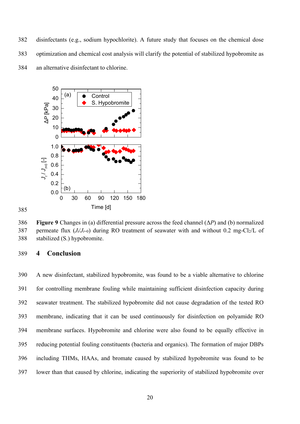382 disinfectants (e.g., sodium hypochlorite). A future study that focuses on the chemical dose 383 optimization and chemical cost analysis will clarify the potential of stabilized hypobromite as 384 an alternative disinfectant to chlorine.



386 **Figure 9** Changes in (a) differential pressure across the feed channel (Δ*P*) and (b) normalized 387 permeate flux  $(J_t/J_{t=0})$  during RO treatment of seawater with and without 0.2 mg-Cl<sub>2</sub>/L of 388 stabilized (S.) hypobromite.

# 389 **4 Conclusion**

385

390 A new disinfectant, stabilized hypobromite, was found to be a viable alternative to chlorine 391 for controlling membrane fouling while maintaining sufficient disinfection capacity during 392 seawater treatment. The stabilized hypobromite did not cause degradation of the tested RO 393 membrane, indicating that it can be used continuously for disinfection on polyamide RO 394 membrane surfaces. Hypobromite and chlorine were also found to be equally effective in 395 reducing potential fouling constituents (bacteria and organics). The formation of major DBPs 396 including THMs, HAAs, and bromate caused by stabilized hypobromite was found to be 397 lower than that caused by chlorine, indicating the superiority of stabilized hypobromite over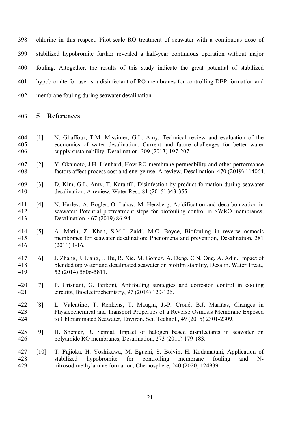398 chlorine in this respect. Pilot-scale RO treatment of seawater with a continuous dose of 399 stabilized hypobromite further revealed a half-year continuous operation without major 400 fouling. Altogether, the results of this study indicate the great potential of stabilized 401 hypobromite for use as a disinfectant of RO membranes for controlling DBP formation and 402 membrane fouling during seawater desalination.

## 403 **5 References**

- 404 [1] N. Ghaffour, T.M. Missimer, G.L. Amy, Technical review and evaluation of the 405 economics of water desalination: Current and future challenges for better water 406 supply sustainability, Desalination, 309 (2013) 197-207.
- 407 [2] Y. Okamoto, J.H. Lienhard, How RO membrane permeability and other performance 408 factors affect process cost and energy use: A review, Desalination, 470 (2019) 114064.
- 409 [3] D. Kim, G.L. Amy, T. Karanfil, Disinfection by-product formation during seawater 410 desalination: A review, Water Res., 81 (2015) 343-355.
- 411 [4] N. Harlev, A. Bogler, O. Lahav, M. Herzberg, Acidification and decarbonization in 412 seawater: Potential pretreatment steps for biofouling control in SWRO membranes, 413 Desalination, 467 (2019) 86-94.
- 414 [5] A. Matin, Z. Khan, S.M.J. Zaidi, M.C. Boyce, Biofouling in reverse osmosis 415 membranes for seawater desalination: Phenomena and prevention, Desalination, 281 416 (2011) 1-16.
- 417 [6] J. Zhang, J. Liang, J. Hu, R. Xie, M. Gomez, A. Deng, C.N. Ong, A. Adin, Impact of 418 blended tap water and desalinated seawater on biofilm stability, Desalin. Water Treat., 419 52 (2014) 5806-5811.
- 420 [7] P. Cristiani, G. Perboni, Antifouling strategies and corrosion control in cooling 421 circuits, Bioelectrochemistry, 97 (2014) 120-126.
- 422 [8] L. Valentino, T. Renkens, T. Maugin, J.-P. Croué, B.J. Mariñas, Changes in 423 Physicochemical and Transport Properties of a Reverse Osmosis Membrane Exposed 424 to Chloraminated Seawater, Environ. Sci. Technol., 49 (2015) 2301-2309.
- 425 [9] H. Shemer, R. Semiat, Impact of halogen based disinfectants in seawater on 426 polyamide RO membranes, Desalination, 273 (2011) 179-183.
- 427 [10] T. Fujioka, H. Yoshikawa, M. Eguchi, S. Boivin, H. Kodamatani, Application of 428 stabilized hypobromite for controlling membrane fouling and N-429 nitrosodimethylamine formation, Chemosphere, 240 (2020) 124939.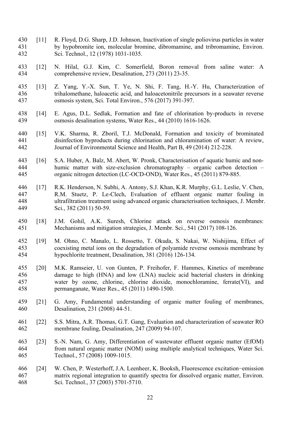- 430 [11] R. Floyd, D.G. Sharp, J.D. Johnson, Inactivation of single poliovirus particles in water 431 by hypobromite ion, molecular bromine, dibromamine, and tribromamine, Environ. 432 Sci. Technol., 12 (1978) 1031-1035.
- 433 [12] N. Hilal, G.J. Kim, C. Somerfield, Boron removal from saline water: A 434 comprehensive review, Desalination, 273 (2011) 23-35.
- 435 [13] Z. Yang, Y.-X. Sun, T. Ye, N. Shi, F. Tang, H.-Y. Hu, Characterization of 436 trihalomethane, haloacetic acid, and haloacetonitrile precursors in a seawater reverse 437 osmosis system, Sci. Total Environ., 576 (2017) 391-397.
- 438 [14] E. Agus, D.L. Sedlak, Formation and fate of chlorination by-products in reverse 439 osmosis desalination systems, Water Res., 44 (2010) 1616-1626.
- 440 [15] V.K. Sharma, R. Zboril, T.J. McDonald, Formation and toxicity of brominated 441 disinfection byproducts during chlorination and chloramination of water: A review, 442 Journal of Environmental Science and Health, Part B, 49 (2014) 212-228.
- 443 [16] S.A. Huber, A. Balz, M. Abert, W. Pronk, Characterisation of aquatic humic and non-444 humic matter with size-exclusion chromatography – organic carbon detection – 445 organic nitrogen detection (LC-OCD-OND), Water Res., 45 (2011) 879-885.
- 446 [17] R.K. Henderson, N. Subhi, A. Antony, S.J. Khan, K.R. Murphy, G.L. Leslie, V. Chen, 447 R.M. Stuetz, P. Le-Clech, Evaluation of effluent organic matter fouling in 448 ultrafiltration treatment using advanced organic characterisation techniques, J. Membr. 449 Sci., 382 (2011) 50-59.
- 450 [18] J.M. Gohil, A.K. Suresh, Chlorine attack on reverse osmosis membranes: 451 Mechanisms and mitigation strategies, J. Membr. Sci., 541 (2017) 108-126.
- 452 [19] M. Ohno, C. Manalo, L. Rossetto, T. Okuda, S. Nakai, W. Nishijima, Effect of 453 coexisting metal ions on the degradation of polyamide reverse osmosis membrane by 454 hypochlorite treatment, Desalination, 381 (2016) 126-134.
- 455 [20] M.K. Ramseier, U. von Gunten, P. Freihofer, F. Hammes, Kinetics of membrane 456 damage to high (HNA) and low (LNA) nucleic acid bacterial clusters in drinking 457 water by ozone, chlorine, chlorine dioxide, monochloramine, ferrate(VI), and 458 permanganate, Water Res., 45 (2011) 1490-1500.
- 459 [21] G. Amy, Fundamental understanding of organic matter fouling of membranes, 460 Desalination, 231 (2008) 44-51.
- 461 [22] S.S. Mitra, A.R. Thomas, G.T. Gang, Evaluation and characterization of seawater RO 462 membrane fouling, Desalination, 247 (2009) 94-107.
- 463 [23] S.-N. Nam, G. Amy, Differentiation of wastewater effluent organic matter (EfOM) 464 from natural organic matter (NOM) using multiple analytical techniques, Water Sci. 465 Technol., 57 (2008) 1009-1015.
- 466 [24] W. Chen, P. Westerhoff, J.A. Leenheer, K. Booksh, Fluorescence excitation−emission 467 matrix regional integration to quantify spectra for dissolved organic matter, Environ. 468 Sci. Technol., 37 (2003) 5701-5710.